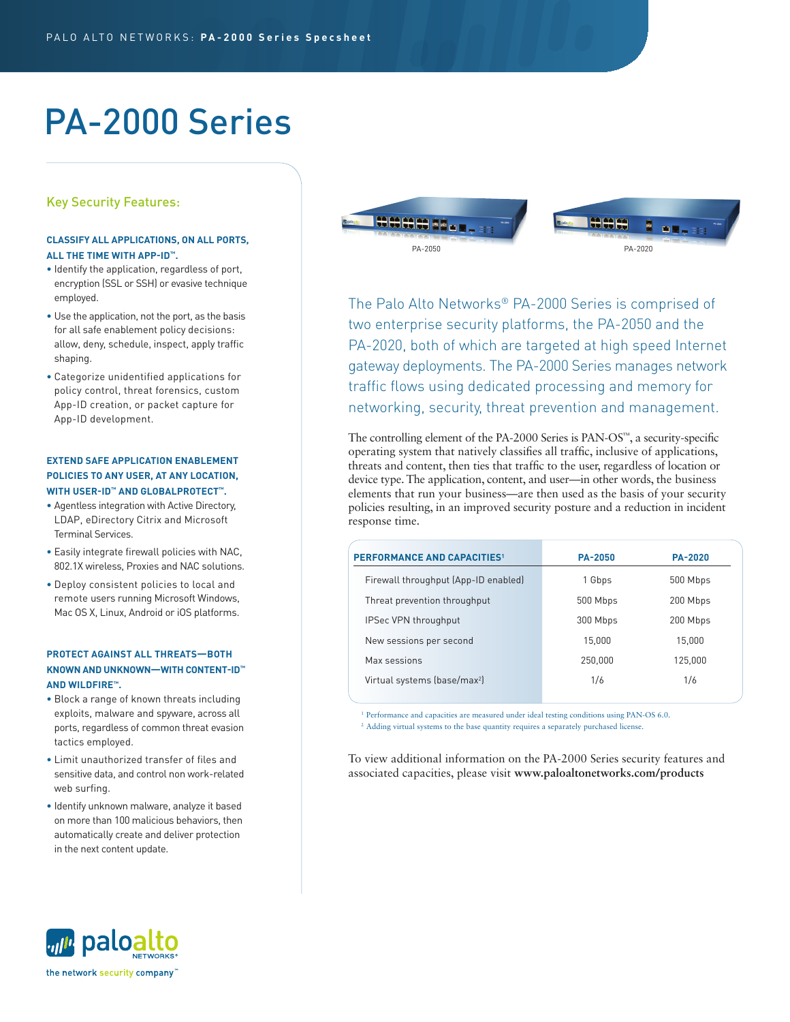# PA-2000 Series

# Key Security Features:

# **CLASSIFY ALL APPLICATIONS, ON ALL PORTS, ALL THE TIME WITH APP-ID™.**

- Identify the application, regardless of port, encryption (SSL or SSH) or evasive technique employed.
- Use the application, not the port, as the basis for all safe enablement policy decisions: allow, deny, schedule, inspect, apply traffic shaping.
- Categorize unidentified applications for policy control, threat forensics, custom App-ID creation, or packet capture for App-ID development.

# **EXTEND SAFE APPLICATION ENABLEMENT POLICIES TO ANY USER, AT ANY LOCATION, WITH USER-ID™ AND GLOBALPROTECT™.**

- Agentless integration with Active Directory, LDAP, eDirectory Citrix and Microsoft Terminal Services.
- Easily integrate firewall policies with NAC, 802.1X wireless, Proxies and NAC solutions.
- Deploy consistent policies to local and remote users running Microsoft Windows, Mac OS X, Linux, Android or iOS platforms.

# **PROTECT AGAINST ALL THREATS—BOTH KNOWN AND UNKNOWN—WITH CONTENT-ID™ AND WILDFIRE™.**

- Block a range of known threats including exploits, malware and spyware, across all ports, regardless of common threat evasion tactics employed.
- Limit unauthorized transfer of files and sensitive data, and control non work-related web surfing.
- Identify unknown malware, analyze it based on more than 100 malicious behaviors, then automatically create and deliver protection in the next content update.



The Palo Alto Networks® PA-2000 Series is comprised of two enterprise security platforms, the PA-2050 and the PA-2020, both of which are targeted at high speed Internet gateway deployments. The PA-2000 Series manages network traffic flows using dedicated processing and memory for networking, security, threat prevention and management.

The controlling element of the PA-2000 Series is PAN-OS™, a security-specific operating system that natively classifies all traffic, inclusive of applications, threats and content, then ties that traffic to the user, regardless of location or device type. The application, content, and user—in other words, the business elements that run your business—are then used as the basis of your security policies resulting, in an improved security posture and a reduction in incident response time.

| <b>PERFORMANCE AND CAPACITIES1</b>       | <b>PA-2050</b> | <b>PA-2020</b> |
|------------------------------------------|----------------|----------------|
| Firewall throughput (App-ID enabled)     | 1 Gbps         | 500 Mbps       |
| Threat prevention throughput             | 500 Mbps       | 200 Mbps       |
| <b>IPSec VPN throughput</b>              | 300 Mbps       | 200 Mbps       |
| New sessions per second                  | 15.000         | 15,000         |
| Max sessions                             | 250,000        | 125,000        |
| Virtual systems (base/max <sup>2</sup> ) | 1/6            | 1/6            |
|                                          |                |                |

<sup>1</sup> Performance and capacities are measured under ideal testing conditions using PAN-OS 6.0.

<sup>2</sup> Adding virtual systems to the base quantity requires a separately purchased license.

To view additional information on the PA-2000 Series security features and associated capacities, please visit **www.paloaltonetworks.com/products**